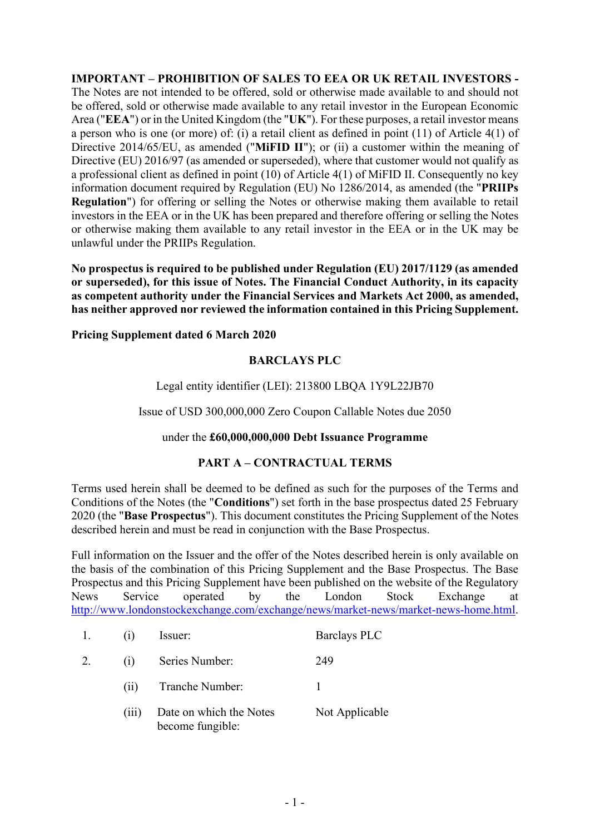**IMPORTANT – PROHIBITION OF SALES TO EEA OR UK RETAIL INVESTORS -** The Notes are not intended to be offered, sold or otherwise made available to and should not be offered, sold or otherwise made available to any retail investor in the European Economic Area ("**EEA**") or in the United Kingdom (the "**UK**"). For these purposes, a retail investor means a person who is one (or more) of: (i) a retail client as defined in point (11) of Article 4(1) of Directive 2014/65/EU, as amended ("**MiFID II**"); or (ii) a customer within the meaning of Directive (EU) 2016/97 (as amended or superseded), where that customer would not qualify as a professional client as defined in point (10) of Article 4(1) of MiFID II. Consequently no key information document required by Regulation (EU) No 1286/2014, as amended (the "**PRIIPs Regulation**") for offering or selling the Notes or otherwise making them available to retail investors in the EEA or in the UK has been prepared and therefore offering or selling the Notes or otherwise making them available to any retail investor in the EEA or in the UK may be unlawful under the PRIIPs Regulation.

**No prospectus is required to be published under Regulation (EU) 2017/1129 (as amended or superseded), for this issue of Notes. The Financial Conduct Authority, in its capacity as competent authority under the Financial Services and Markets Act 2000, as amended, has neither approved nor reviewed the information contained in this Pricing Supplement.**

**Pricing Supplement dated 6 March 2020**

## **BARCLAYS PLC**

## Legal entity identifier (LEI): 213800 LBQA 1Y9L22JB70

Issue of USD 300,000,000 Zero Coupon Callable Notes due 2050

## under the **£60,000,000,000 Debt Issuance Programme**

## **PART A – CONTRACTUAL TERMS**

Terms used herein shall be deemed to be defined as such for the purposes of the Terms and Conditions of the Notes (the "**Conditions**") set forth in the base prospectus dated 25 February 2020 (the "**Base Prospectus**"). This document constitutes the Pricing Supplement of the Notes described herein and must be read in conjunction with the Base Prospectus.

Full information on the Issuer and the offer of the Notes described herein is only available on the basis of the combination of this Pricing Supplement and the Base Prospectus. The Base Prospectus and this Pricing Supplement have been published on the website of the Regulatory News Service operated by the London Stock Exchange at [http://www.londonstockexchange.com/exchange/news/market-news/market-news-home.html.](http://www.londonstockexchange.com/exchange/news/market-news/market-news-home.html)

| 1. | (1)   | Issuer:                                     | <b>Barclays PLC</b> |
|----|-------|---------------------------------------------|---------------------|
| 2. | (1)   | Series Number:                              | 249                 |
|    | (11)  | Tranche Number:                             |                     |
|    | (111) | Date on which the Notes<br>become fungible: | Not Applicable      |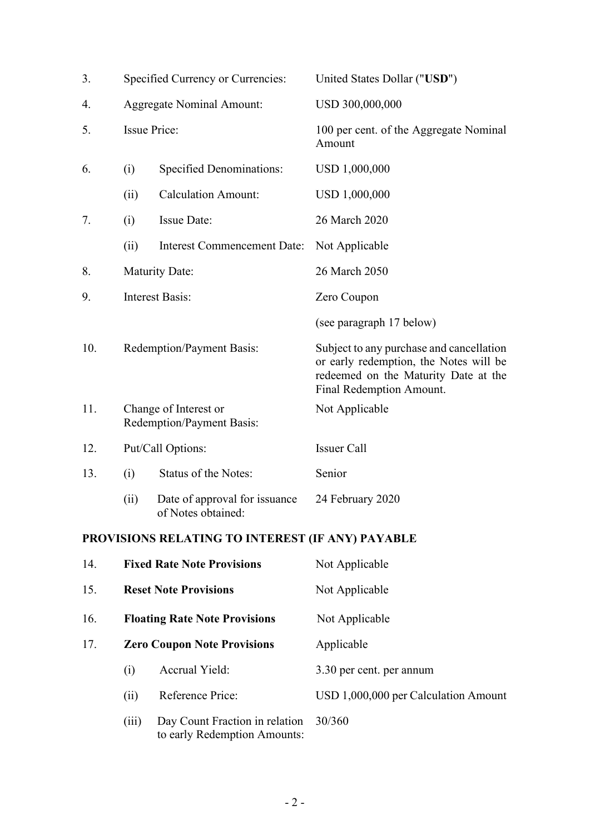| 3.  |                                      | Specified Currency or Currencies:                              | United States Dollar ("USD")                                                                                                                           |
|-----|--------------------------------------|----------------------------------------------------------------|--------------------------------------------------------------------------------------------------------------------------------------------------------|
| 4.  | <b>Aggregate Nominal Amount:</b>     |                                                                | USD 300,000,000                                                                                                                                        |
| 5.  | <b>Issue Price:</b>                  |                                                                | 100 per cent. of the Aggregate Nominal<br>Amount                                                                                                       |
| 6.  | (i)                                  | <b>Specified Denominations:</b>                                | USD 1,000,000                                                                                                                                          |
|     | (ii)                                 | <b>Calculation Amount:</b>                                     | USD 1,000,000                                                                                                                                          |
| 7.  | (i)                                  | <b>Issue Date:</b>                                             | 26 March 2020                                                                                                                                          |
|     | (ii)                                 | <b>Interest Commencement Date:</b>                             | Not Applicable                                                                                                                                         |
| 8.  |                                      | <b>Maturity Date:</b>                                          | 26 March 2050                                                                                                                                          |
| 9.  |                                      | <b>Interest Basis:</b>                                         | Zero Coupon                                                                                                                                            |
|     |                                      |                                                                | (see paragraph 17 below)                                                                                                                               |
| 10. |                                      | Redemption/Payment Basis:                                      | Subject to any purchase and cancellation<br>or early redemption, the Notes will be<br>redeemed on the Maturity Date at the<br>Final Redemption Amount. |
| 11. |                                      | Change of Interest or<br>Redemption/Payment Basis:             | Not Applicable                                                                                                                                         |
| 12. |                                      | Put/Call Options:                                              | <b>Issuer Call</b>                                                                                                                                     |
| 13. | (i)                                  | Status of the Notes:                                           | Senior                                                                                                                                                 |
|     | (ii)                                 | Date of approval for issuance<br>of Notes obtained:            | 24 February 2020                                                                                                                                       |
|     |                                      | PROVISIONS RELATING TO INTEREST (IF ANY) PAYABLE               |                                                                                                                                                        |
| 14. |                                      | <b>Fixed Rate Note Provisions</b>                              | Not Applicable                                                                                                                                         |
| 15. | <b>Reset Note Provisions</b>         |                                                                | Not Applicable                                                                                                                                         |
| 16. | <b>Floating Rate Note Provisions</b> |                                                                | Not Applicable                                                                                                                                         |
| 17. |                                      | <b>Zero Coupon Note Provisions</b>                             | Applicable                                                                                                                                             |
|     | (i)                                  | Accrual Yield:                                                 | 3.30 per cent. per annum                                                                                                                               |
|     | (ii)                                 | Reference Price:                                               | USD 1,000,000 per Calculation Amount                                                                                                                   |
|     | (iii)                                | Day Count Fraction in relation<br>to early Redemption Amounts: | 30/360                                                                                                                                                 |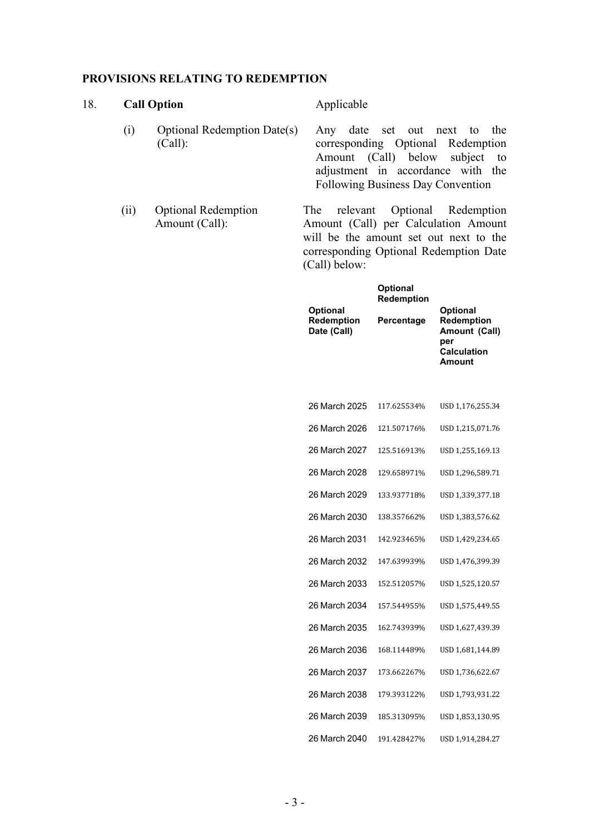#### **PROVISIONS RELATING TO REDEMPTION**

#### 18. **Call Option** Applicable (i) Optional Redemption Date(s) (Call): Any date set out next to the corresponding Optional Redemption

(ii) Optional Redemption Amount (Call):

adjustment in accordance with the Following Business Day Convention The relevant Optional Redemption Amount (Call) per Calculation Amount will be the amount set out next to the

corresponding Optional Redemption Date

(Call) below:

Amount (Call) below subject to

| <b>Optional</b><br>Redemption<br>Date (Call) | <b>Optional</b><br>Redemption<br>Percentage | <b>Optional</b><br>Redemption<br>Amount (Call)<br>per<br><b>Calculation</b><br>Amount |
|----------------------------------------------|---------------------------------------------|---------------------------------------------------------------------------------------|
| 26 March 2025                                | 117.625534%                                 | USD 1,176,255.34                                                                      |
| 26 March 2026                                | 121.507176%                                 | USD 1,215,071.76                                                                      |
| 26 March 2027                                | 125.516913%                                 | USD 1,255,169.13                                                                      |
| 26 March 2028                                | 129.658971%                                 | USD 1,296,589.71                                                                      |
| 26 March 2029                                | 133.937718%                                 | USD 1,339,377.18                                                                      |
| 26 March 2030                                | 138.357662%                                 | USD 1,383,576.62                                                                      |
| 26 March 2031                                | 142.923465%                                 | USD 1,429,234.65                                                                      |
| 26 March 2032                                | 147.639939%                                 | USD 1,476,399.39                                                                      |
| 26 March 2033                                | 152.512057%                                 | USD 1,525,120.57                                                                      |
| 26 March 2034                                | 157.544955%                                 | USD 1,575,449.55                                                                      |
| 26 March 2035                                | 162.743939%                                 | USD 1,627,439.39                                                                      |
| 26 March 2036                                | 168.114489%                                 | USD 1,681,144.89                                                                      |
| 26 March 2037                                | 173.662267%                                 | USD 1,736,622.67                                                                      |
| 26 March 2038                                | 179.393122%                                 | USD 1,793,931.22                                                                      |
| 26 March 2039                                | 185.313095%                                 | USD 1,853,130.95                                                                      |
| 26 March 2040                                | 191.428427%                                 | USD 1,914,284.27                                                                      |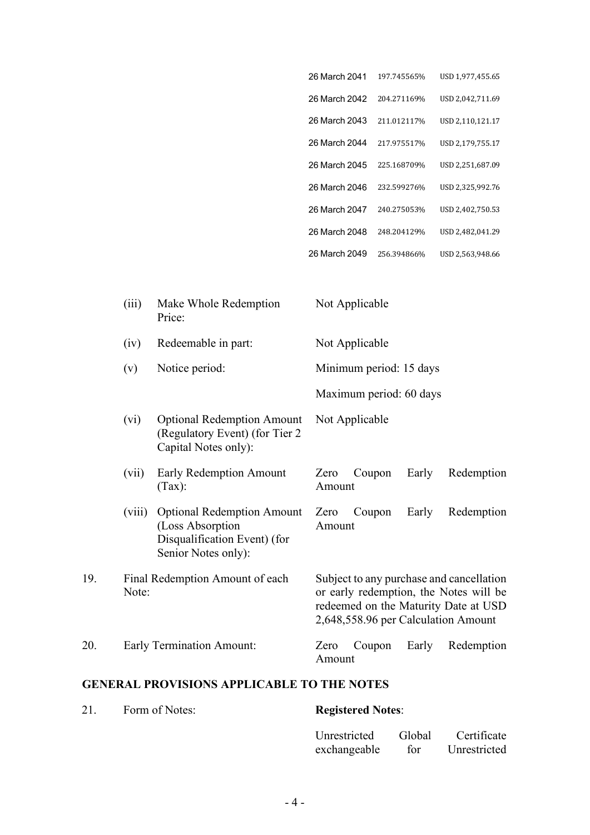| 26 March 2041 | 197.745565% | USD 1,977,455.65 |
|---------------|-------------|------------------|
| 26 March 2042 | 204.271169% | USD 2,042,711.69 |
| 26 March 2043 | 211.012117% | USD 2,110,121.17 |
| 26 March 2044 | 217.975517% | USD 2,179,755.17 |
| 26 March 2045 | 225.168709% | USD 2,251,687.09 |
| 26 March 2046 | 232.599276% | USD 2,325,992.76 |
| 26 March 2047 | 240.275053% | USD 2,402,750.53 |
| 26 March 2048 | 248.204129% | USD 2,482,041.29 |
| 26 March 2049 | 256.394866% | USD 2,563,948.66 |
|               |             |                  |

| (iii) | Make Whole Redemption<br>Price: | Not Applicable          |
|-------|---------------------------------|-------------------------|
| (iv)  | Redeemable in part:             | Not Applicable          |
| (v)   | Notice period:                  | Minimum period: 15 days |
|       |                                 | Maximum period: 60 days |

- (vi) Optional Redemption Amount (Regulatory Event) (for Tier 2 Capital Notes only): Not Applicable (vii) Early Redemption Amount (Tax): Zero Coupon Early Redemption Amount
- (viii) Optional Redemption Amount (Loss Absorption Disqualification Event) (for Senior Notes only): Zero Coupon Early Redemption Amount 19. Final Redemption Amount of each Subject to any purchase and cancellation

or early redemption, the Notes will be redeemed on the Maturity Date at USD 2,648,558.96 per Calculation Amount

#### 20. Early Termination Amount: Zero Coupon Early Redemption

Note:

# Amount

#### **GENERAL PROVISIONS APPLICABLE TO THE NOTES**

| 21. | Form of Notes: | <b>Registered Notes:</b>        |  |  |
|-----|----------------|---------------------------------|--|--|
|     |                | Unrestricted Global Certificate |  |  |
|     |                | exchangeable for Unrestricted   |  |  |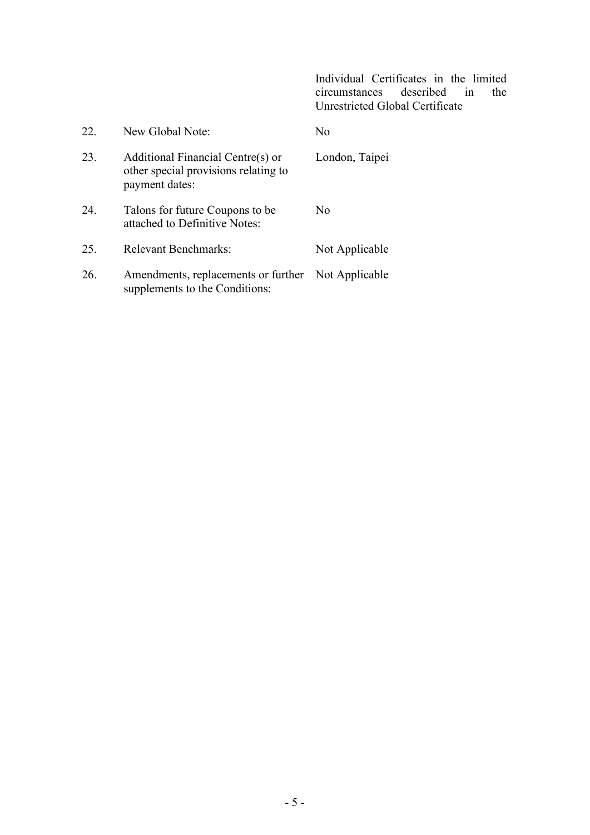Individual Certificates in the limited described in Unrestricted Global Certificate

| 22. | New Global Note:                                                                            | No             |
|-----|---------------------------------------------------------------------------------------------|----------------|
| 23. | Additional Financial Centre(s) or<br>other special provisions relating to<br>payment dates: | London, Taipei |
| 24. | Talons for future Coupons to be.<br>attached to Definitive Notes:                           | No             |
| 25. | Relevant Benchmarks:                                                                        | Not Applicable |
| 26. | Amendments, replacements or further Not Applicable<br>supplements to the Conditions:        |                |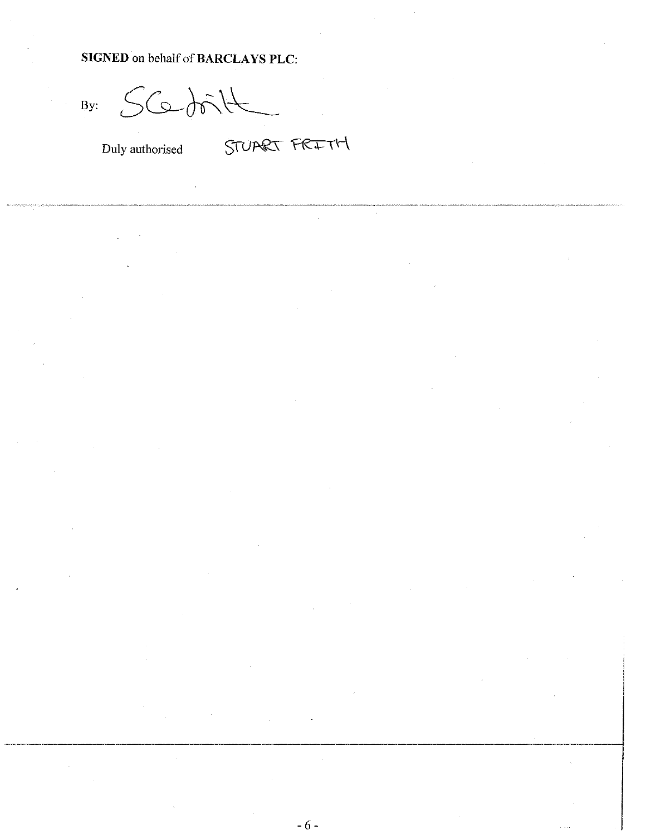## SIGNED on behalf of BARCLAYS PLC:

 $SCabik$ By:

Duly authorised

STUART FRITH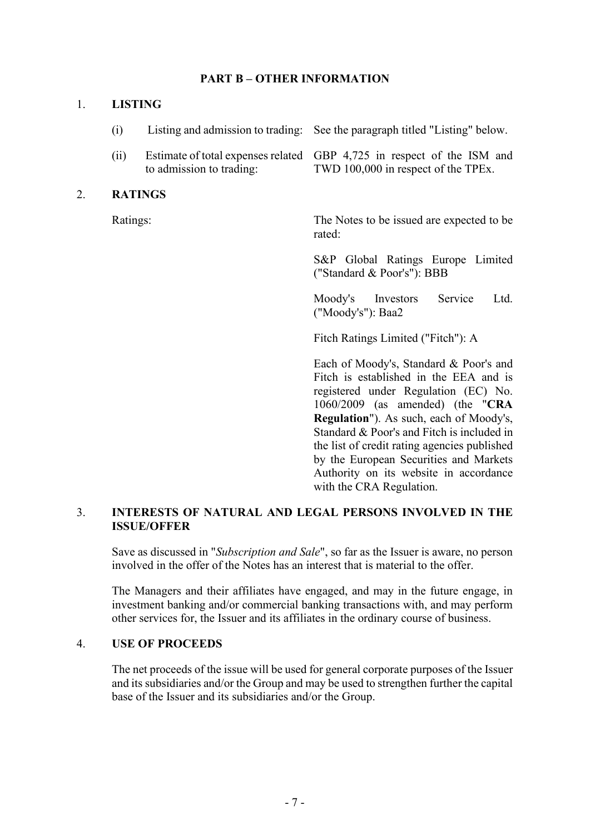## **PART B – OTHER INFORMATION**

#### 1. **LISTING**

| (i)  |                          | Listing and admission to trading: See the paragraph titled "Listing" below.                                   |
|------|--------------------------|---------------------------------------------------------------------------------------------------------------|
| (ii) | to admission to trading: | Estimate of total expenses related GBP 4,725 in respect of the ISM and<br>TWD 100,000 in respect of the TPEx. |

### 2. **RATINGS**

Ratings: The Notes to be issued are expected to be rated:

> S&P Global Ratings Europe Limited ("Standard & Poor's"): BBB

> Moody's Investors Service Ltd. ("Moody's"): Baa2

Fitch Ratings Limited ("Fitch"): A

Each of Moody's, Standard & Poor's and Fitch is established in the EEA and is registered under Regulation (EC) No. 1060/2009 (as amended) (the "**CRA Regulation**"). As such, each of Moody's, Standard & Poor's and Fitch is included in the list of credit rating agencies published by the European Securities and Markets Authority on its website in accordance with the CRA Regulation.

## 3. **INTERESTS OF NATURAL AND LEGAL PERSONS INVOLVED IN THE ISSUE/OFFER**

Save as discussed in "*Subscription and Sale*", so far as the Issuer is aware, no person involved in the offer of the Notes has an interest that is material to the offer.

The Managers and their affiliates have engaged, and may in the future engage, in investment banking and/or commercial banking transactions with, and may perform other services for, the Issuer and its affiliates in the ordinary course of business.

#### 4. **USE OF PROCEEDS**

The net proceeds of the issue will be used for general corporate purposes of the Issuer and its subsidiaries and/or the Group and may be used to strengthen further the capital base of the Issuer and its subsidiaries and/or the Group.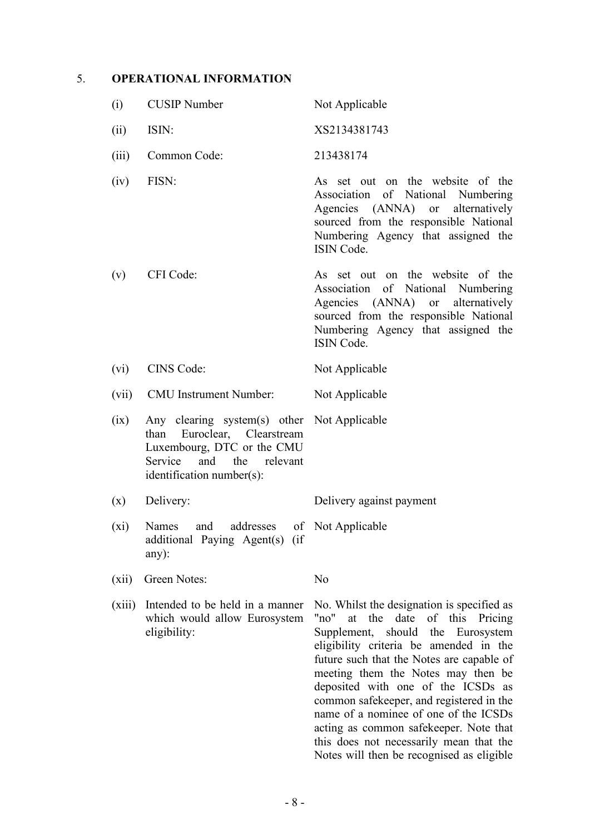## 5. **OPERATIONAL INFORMATION**

| (i)    | <b>CUSIP</b> Number                                                                                                                                               | Not Applicable                                                                                                                                                                                                                                                                                                                                                                                                                                                         |
|--------|-------------------------------------------------------------------------------------------------------------------------------------------------------------------|------------------------------------------------------------------------------------------------------------------------------------------------------------------------------------------------------------------------------------------------------------------------------------------------------------------------------------------------------------------------------------------------------------------------------------------------------------------------|
| (ii)   | ISIN:                                                                                                                                                             | XS2134381743                                                                                                                                                                                                                                                                                                                                                                                                                                                           |
| (iii)  | Common Code:                                                                                                                                                      | 213438174                                                                                                                                                                                                                                                                                                                                                                                                                                                              |
| (iv)   | FISN:                                                                                                                                                             | As set out on the website of the<br>Association of National Numbering<br>Agencies (ANNA) or alternatively<br>sourced from the responsible National<br>Numbering Agency that assigned the<br>ISIN Code.                                                                                                                                                                                                                                                                 |
| (v)    | CFI Code:                                                                                                                                                         | As set out on the website of the<br>Association of National Numbering<br>Agencies (ANNA) or<br>alternatively<br>sourced from the responsible National<br>Numbering Agency that assigned the<br>ISIN Code.                                                                                                                                                                                                                                                              |
| (vi)   | CINS Code:                                                                                                                                                        | Not Applicable                                                                                                                                                                                                                                                                                                                                                                                                                                                         |
| (vii)  | <b>CMU</b> Instrument Number:                                                                                                                                     | Not Applicable                                                                                                                                                                                                                                                                                                                                                                                                                                                         |
| (ix)   | Any clearing system(s) other Not Applicable<br>than Euroclear, Clearstream<br>Luxembourg, DTC or the CMU<br>Service and the relevant<br>identification number(s): |                                                                                                                                                                                                                                                                                                                                                                                                                                                                        |
| (x)    | Delivery:                                                                                                                                                         | Delivery against payment                                                                                                                                                                                                                                                                                                                                                                                                                                               |
| (xi)   | Names and addresses of Not Applicable<br>additional Paying Agent(s) (if<br>$any)$ :                                                                               |                                                                                                                                                                                                                                                                                                                                                                                                                                                                        |
| (xii)  | Green Notes:                                                                                                                                                      | No                                                                                                                                                                                                                                                                                                                                                                                                                                                                     |
| (xiii) | Intended to be held in a manner<br>which would allow Eurosystem<br>eligibility:                                                                                   | No. Whilst the designation is specified as<br>at the<br>date of this Pricing<br>"no"<br>Supplement, should the Eurosystem<br>eligibility criteria be amended in the<br>future such that the Notes are capable of<br>meeting them the Notes may then be<br>deposited with one of the ICSDs as<br>common safekeeper, and registered in the<br>name of a nominee of one of the ICSDs<br>acting as common safekeeper. Note that<br>this does not necessarily mean that the |

Notes will then be recognised as eligible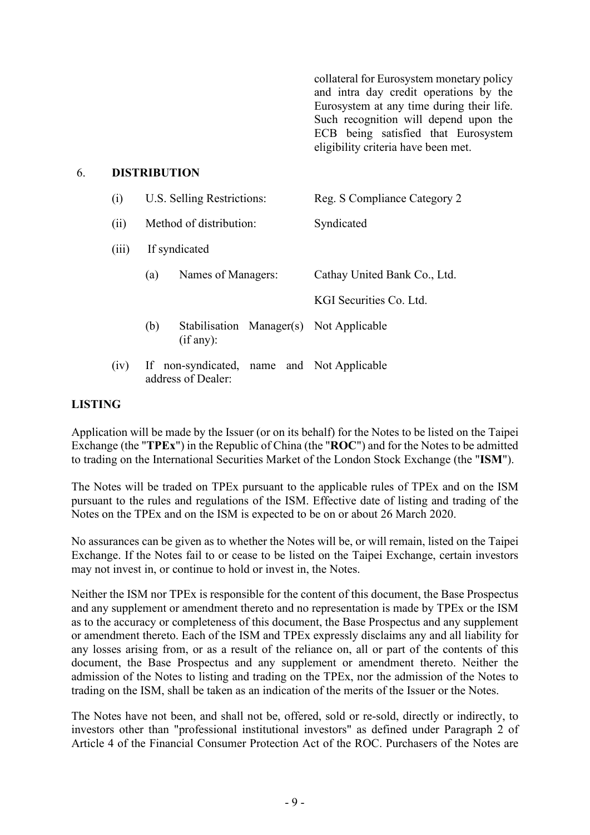collateral for Eurosystem monetary policy and intra day credit operations by the Eurosystem at any time during their life. Such recognition will depend upon the ECB being satisfied that Eurosystem eligibility criteria have been met.

#### 6. **DISTRIBUTION**

| (i)   | U.S. Selling Restrictions: |                                                                  | Reg. S Compliance Category 2 |                              |
|-------|----------------------------|------------------------------------------------------------------|------------------------------|------------------------------|
| (ii)  |                            | Method of distribution:                                          |                              | Syndicated                   |
| (iii) | If syndicated              |                                                                  |                              |                              |
|       | (a)                        | Names of Managers:                                               |                              | Cathay United Bank Co., Ltd. |
|       |                            |                                                                  |                              | KGI Securities Co. Ltd.      |
|       | (b)                        | Stabilisation Manager(s) Not Applicable<br>(if any):             |                              |                              |
| (iv)  |                            | If non-syndicated, name and Not Applicable<br>address of Dealer: |                              |                              |

#### **LISTING**

Application will be made by the Issuer (or on its behalf) for the Notes to be listed on the Taipei Exchange (the "**TPEx**") in the Republic of China (the "**ROC**") and for the Notes to be admitted to trading on the International Securities Market of the London Stock Exchange (the "**ISM**").

The Notes will be traded on TPEx pursuant to the applicable rules of TPEx and on the ISM pursuant to the rules and regulations of the ISM. Effective date of listing and trading of the Notes on the TPEx and on the ISM is expected to be on or about 26 March 2020.

No assurances can be given as to whether the Notes will be, or will remain, listed on the Taipei Exchange. If the Notes fail to or cease to be listed on the Taipei Exchange, certain investors may not invest in, or continue to hold or invest in, the Notes.

Neither the ISM nor TPEx is responsible for the content of this document, the Base Prospectus and any supplement or amendment thereto and no representation is made by TPEx or the ISM as to the accuracy or completeness of this document, the Base Prospectus and any supplement or amendment thereto. Each of the ISM and TPEx expressly disclaims any and all liability for any losses arising from, or as a result of the reliance on, all or part of the contents of this document, the Base Prospectus and any supplement or amendment thereto. Neither the admission of the Notes to listing and trading on the TPEx, nor the admission of the Notes to trading on the ISM, shall be taken as an indication of the merits of the Issuer or the Notes.

The Notes have not been, and shall not be, offered, sold or re-sold, directly or indirectly, to investors other than "professional institutional investors" as defined under Paragraph 2 of Article 4 of the Financial Consumer Protection Act of the ROC. Purchasers of the Notes are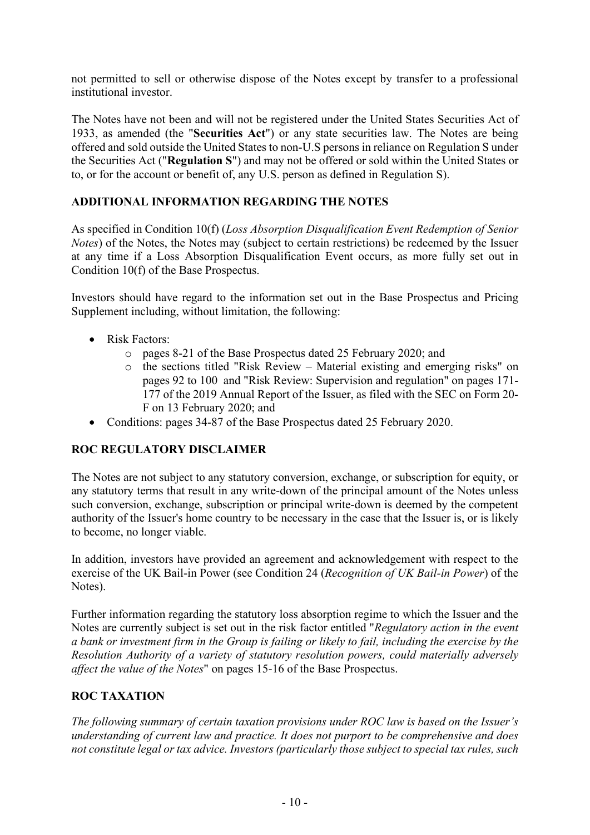not permitted to sell or otherwise dispose of the Notes except by transfer to a professional institutional investor.

The Notes have not been and will not be registered under the United States Securities Act of 1933, as amended (the "**Securities Act**") or any state securities law. The Notes are being offered and sold outside the United States to non-U.S persons in reliance on Regulation S under the Securities Act ("**Regulation S**") and may not be offered or sold within the United States or to, or for the account or benefit of, any U.S. person as defined in Regulation S).

## **ADDITIONAL INFORMATION REGARDING THE NOTES**

As specified in Condition 10(f) (*Loss Absorption Disqualification Event Redemption of Senior Notes*) of the Notes, the Notes may (subject to certain restrictions) be redeemed by the Issuer at any time if a Loss Absorption Disqualification Event occurs, as more fully set out in Condition 10(f) of the Base Prospectus.

Investors should have regard to the information set out in the Base Prospectus and Pricing Supplement including, without limitation, the following:

- Risk Factors:
	- o pages 8-21 of the Base Prospectus dated 25 February 2020; and
	- o the sections titled "Risk Review Material existing and emerging risks" on pages 92 to 100 and "Risk Review: Supervision and regulation" on pages 171- 177 of the 2019 Annual Report of the Issuer, as filed with the SEC on Form 20- F on 13 February 2020; and
- Conditions: pages 34-87 of the Base Prospectus dated 25 February 2020.

## **ROC REGULATORY DISCLAIMER**

The Notes are not subject to any statutory conversion, exchange, or subscription for equity, or any statutory terms that result in any write-down of the principal amount of the Notes unless such conversion, exchange, subscription or principal write-down is deemed by the competent authority of the Issuer's home country to be necessary in the case that the Issuer is, or is likely to become, no longer viable.

In addition, investors have provided an agreement and acknowledgement with respect to the exercise of the UK Bail-in Power (see Condition 24 (*Recognition of UK Bail-in Power*) of the Notes).

Further information regarding the statutory loss absorption regime to which the Issuer and the Notes are currently subject is set out in the risk factor entitled "*Regulatory action in the event a bank or investment firm in the Group is failing or likely to fail, including the exercise by the Resolution Authority of a variety of statutory resolution powers, could materially adversely affect the value of the Notes*" on pages 15-16 of the Base Prospectus.

## **ROC TAXATION**

*The following summary of certain taxation provisions under ROC law is based on the Issuer's understanding of current law and practice. It does not purport to be comprehensive and does not constitute legal or tax advice. Investors (particularly those subject to special tax rules, such*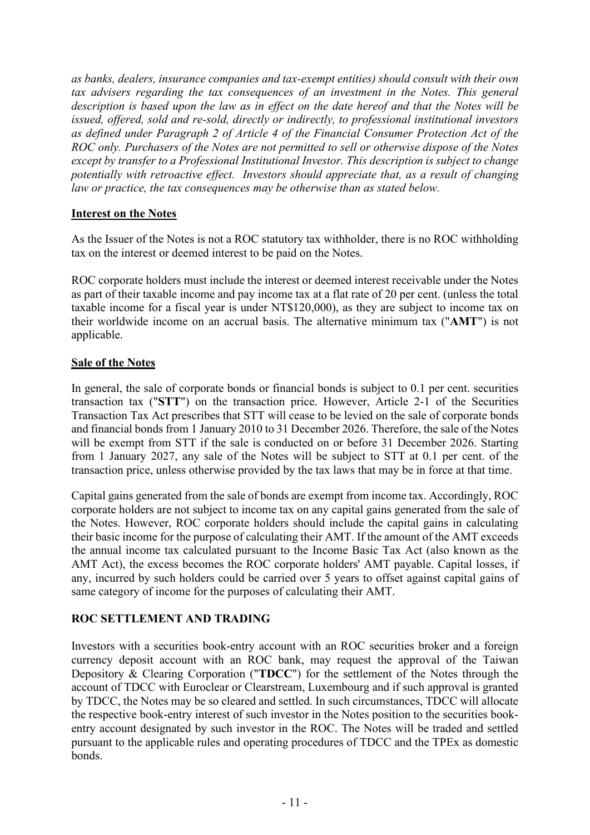*as banks, dealers, insurance companies and tax-exempt entities) should consult with their own tax advisers regarding the tax consequences of an investment in the Notes. This general description is based upon the law as in effect on the date hereof and that the Notes will be issued, offered, sold and re-sold, directly or indirectly, to professional institutional investors as defined under Paragraph 2 of Article 4 of the Financial Consumer Protection Act of the ROC only. Purchasers of the Notes are not permitted to sell or otherwise dispose of the Notes except by transfer to a Professional Institutional Investor. This description is subject to change potentially with retroactive effect. Investors should appreciate that, as a result of changing law or practice, the tax consequences may be otherwise than as stated below.*

## **Interest on the Notes**

As the Issuer of the Notes is not a ROC statutory tax withholder, there is no ROC withholding tax on the interest or deemed interest to be paid on the Notes.

ROC corporate holders must include the interest or deemed interest receivable under the Notes as part of their taxable income and pay income tax at a flat rate of 20 per cent. (unless the total taxable income for a fiscal year is under NT\$120,000), as they are subject to income tax on their worldwide income on an accrual basis. The alternative minimum tax ("**AMT**") is not applicable.

### **Sale of the Notes**

In general, the sale of corporate bonds or financial bonds is subject to 0.1 per cent. securities transaction tax ("**STT**") on the transaction price. However, Article 2-1 of the Securities Transaction Tax Act prescribes that STT will cease to be levied on the sale of corporate bonds and financial bonds from 1 January 2010 to 31 December 2026. Therefore, the sale of the Notes will be exempt from STT if the sale is conducted on or before 31 December 2026. Starting from 1 January 2027, any sale of the Notes will be subject to STT at 0.1 per cent. of the transaction price, unless otherwise provided by the tax laws that may be in force at that time.

Capital gains generated from the sale of bonds are exempt from income tax. Accordingly, ROC corporate holders are not subject to income tax on any capital gains generated from the sale of the Notes. However, ROC corporate holders should include the capital gains in calculating their basic income for the purpose of calculating their AMT. If the amount of the AMT exceeds the annual income tax calculated pursuant to the Income Basic Tax Act (also known as the AMT Act), the excess becomes the ROC corporate holders' AMT payable. Capital losses, if any, incurred by such holders could be carried over 5 years to offset against capital gains of same category of income for the purposes of calculating their AMT.

## **ROC SETTLEMENT AND TRADING**

Investors with a securities book-entry account with an ROC securities broker and a foreign currency deposit account with an ROC bank, may request the approval of the Taiwan Depository & Clearing Corporation ("**TDCC**") for the settlement of the Notes through the account of TDCC with Euroclear or Clearstream, Luxembourg and if such approval is granted by TDCC, the Notes may be so cleared and settled. In such circumstances, TDCC will allocate the respective book-entry interest of such investor in the Notes position to the securities bookentry account designated by such investor in the ROC. The Notes will be traded and settled pursuant to the applicable rules and operating procedures of TDCC and the TPEx as domestic bonds.